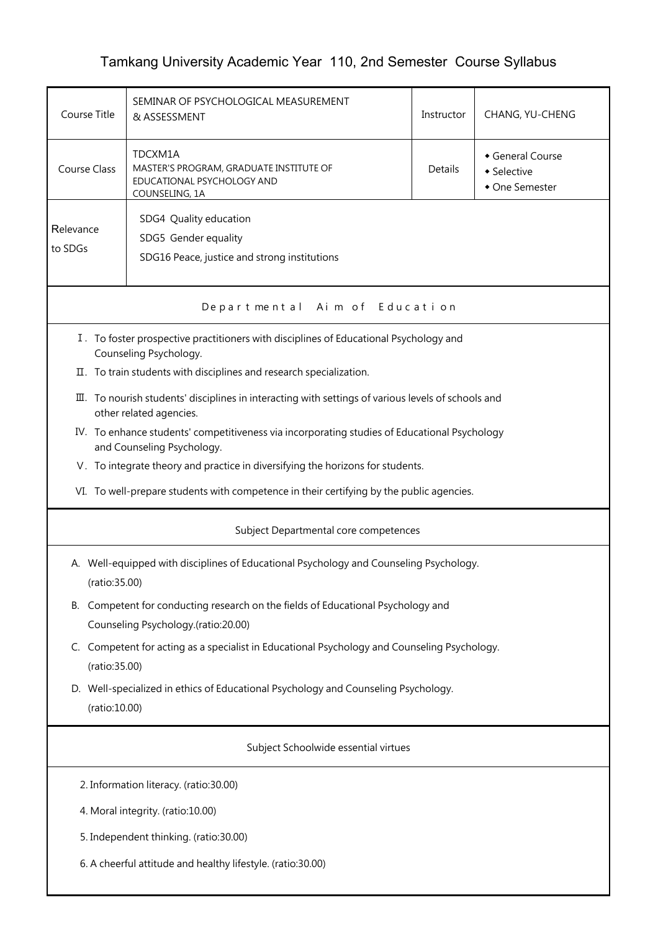## Tamkang University Academic Year 110, 2nd Semester Course Syllabus

| Course Title                                                                                                                   | SEMINAR OF PSYCHOLOGICAL MEASUREMENT<br>& ASSESSMENT                                                                                                             | Instructor | CHANG, YU-CHENG |  |  |  |  |
|--------------------------------------------------------------------------------------------------------------------------------|------------------------------------------------------------------------------------------------------------------------------------------------------------------|------------|-----------------|--|--|--|--|
| Course Class                                                                                                                   | TDCXM1A<br>General Course<br>MASTER'S PROGRAM, GRADUATE INSTITUTE OF<br>Details<br>• Selective<br>EDUCATIONAL PSYCHOLOGY AND<br>• One Semester<br>COUNSELING, 1A |            |                 |  |  |  |  |
| Relevance<br>to SDGs                                                                                                           | SDG4 Quality education<br>SDG5 Gender equality<br>SDG16 Peace, justice and strong institutions                                                                   |            |                 |  |  |  |  |
| Departmental Aim of Education                                                                                                  |                                                                                                                                                                  |            |                 |  |  |  |  |
| I. To foster prospective practitioners with disciplines of Educational Psychology and<br>Counseling Psychology.                |                                                                                                                                                                  |            |                 |  |  |  |  |
|                                                                                                                                | II. To train students with disciplines and research specialization.                                                                                              |            |                 |  |  |  |  |
| III. To nourish students' disciplines in interacting with settings of various levels of schools and<br>other related agencies. |                                                                                                                                                                  |            |                 |  |  |  |  |
|                                                                                                                                | IV. To enhance students' competitiveness via incorporating studies of Educational Psychology<br>and Counseling Psychology.                                       |            |                 |  |  |  |  |
|                                                                                                                                | V. To integrate theory and practice in diversifying the horizons for students.                                                                                   |            |                 |  |  |  |  |
|                                                                                                                                | VI. To well-prepare students with competence in their certifying by the public agencies.                                                                         |            |                 |  |  |  |  |
|                                                                                                                                | Subject Departmental core competences                                                                                                                            |            |                 |  |  |  |  |
|                                                                                                                                | A. Well-equipped with disciplines of Educational Psychology and Counseling Psychology.<br>(ratio:35.00)                                                          |            |                 |  |  |  |  |
| В.                                                                                                                             | Competent for conducting research on the fields of Educational Psychology and<br>Counseling Psychology.(ratio:20.00)                                             |            |                 |  |  |  |  |
|                                                                                                                                | C. Competent for acting as a specialist in Educational Psychology and Counseling Psychology.<br>(ratio:35.00)                                                    |            |                 |  |  |  |  |
|                                                                                                                                | D. Well-specialized in ethics of Educational Psychology and Counseling Psychology.<br>(ratio:10.00)                                                              |            |                 |  |  |  |  |
| Subject Schoolwide essential virtues                                                                                           |                                                                                                                                                                  |            |                 |  |  |  |  |
| 2. Information literacy. (ratio:30.00)                                                                                         |                                                                                                                                                                  |            |                 |  |  |  |  |
| 4. Moral integrity. (ratio:10.00)                                                                                              |                                                                                                                                                                  |            |                 |  |  |  |  |
| 5. Independent thinking. (ratio:30.00)                                                                                         |                                                                                                                                                                  |            |                 |  |  |  |  |
|                                                                                                                                | 6. A cheerful attitude and healthy lifestyle. (ratio:30.00)                                                                                                      |            |                 |  |  |  |  |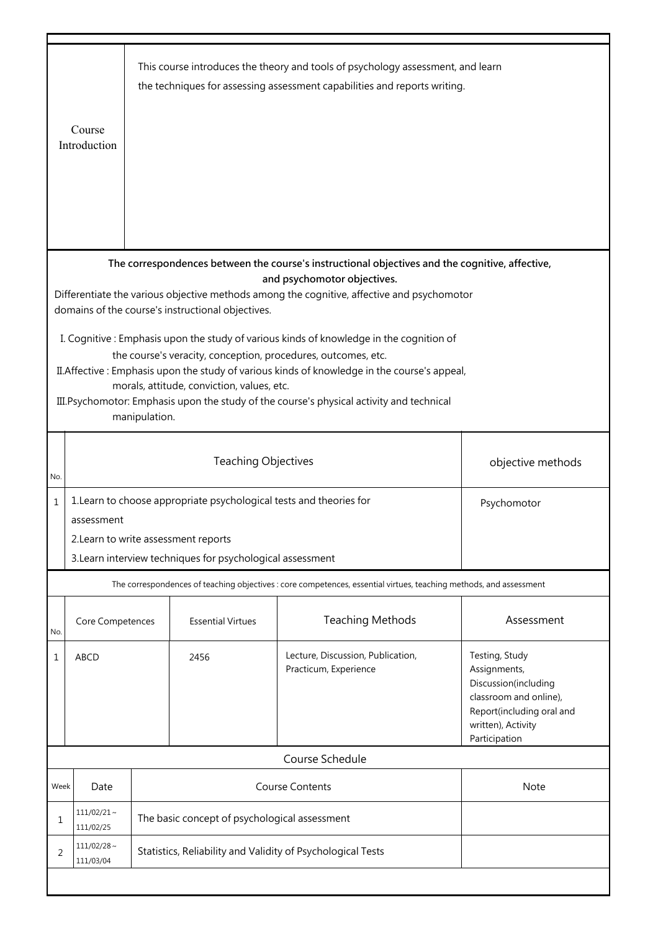|                                                                                                                                                                                                                                                                                                                                                                                                                                                                           | Course<br>Introduction        |                                                                                                                                                                                          |                          | This course introduces the theory and tools of psychology assessment, and learn<br>the techniques for assessing assessment capabilities and reports writing. |                                                                                                                                                      |  |  |
|---------------------------------------------------------------------------------------------------------------------------------------------------------------------------------------------------------------------------------------------------------------------------------------------------------------------------------------------------------------------------------------------------------------------------------------------------------------------------|-------------------------------|------------------------------------------------------------------------------------------------------------------------------------------------------------------------------------------|--------------------------|--------------------------------------------------------------------------------------------------------------------------------------------------------------|------------------------------------------------------------------------------------------------------------------------------------------------------|--|--|
| The correspondences between the course's instructional objectives and the cognitive, affective,<br>and psychomotor objectives.<br>Differentiate the various objective methods among the cognitive, affective and psychomotor                                                                                                                                                                                                                                              |                               |                                                                                                                                                                                          |                          |                                                                                                                                                              |                                                                                                                                                      |  |  |
| domains of the course's instructional objectives.<br>I. Cognitive: Emphasis upon the study of various kinds of knowledge in the cognition of<br>the course's veracity, conception, procedures, outcomes, etc.<br>II. Affective: Emphasis upon the study of various kinds of knowledge in the course's appeal,<br>morals, attitude, conviction, values, etc.<br>III. Psychomotor: Emphasis upon the study of the course's physical activity and technical<br>manipulation. |                               |                                                                                                                                                                                          |                          |                                                                                                                                                              |                                                                                                                                                      |  |  |
| No.                                                                                                                                                                                                                                                                                                                                                                                                                                                                       |                               | <b>Teaching Objectives</b><br>objective methods                                                                                                                                          |                          |                                                                                                                                                              |                                                                                                                                                      |  |  |
| $\mathbf{1}$                                                                                                                                                                                                                                                                                                                                                                                                                                                              | assessment                    | 1. Learn to choose appropriate psychological tests and theories for<br>Psychomotor<br>2. Learn to write assessment reports<br>3. Learn interview techniques for psychological assessment |                          |                                                                                                                                                              |                                                                                                                                                      |  |  |
|                                                                                                                                                                                                                                                                                                                                                                                                                                                                           |                               |                                                                                                                                                                                          |                          | The correspondences of teaching objectives : core competences, essential virtues, teaching methods, and assessment                                           |                                                                                                                                                      |  |  |
| No.                                                                                                                                                                                                                                                                                                                                                                                                                                                                       | Core Competences              |                                                                                                                                                                                          | <b>Essential Virtues</b> | <b>Teaching Methods</b>                                                                                                                                      | Assessment                                                                                                                                           |  |  |
| 1                                                                                                                                                                                                                                                                                                                                                                                                                                                                         | <b>ABCD</b>                   |                                                                                                                                                                                          | 2456                     | Lecture, Discussion, Publication,<br>Practicum, Experience                                                                                                   | Testing, Study<br>Assignments,<br>Discussion(including<br>classroom and online),<br>Report(including oral and<br>written), Activity<br>Participation |  |  |
|                                                                                                                                                                                                                                                                                                                                                                                                                                                                           |                               |                                                                                                                                                                                          |                          | Course Schedule                                                                                                                                              |                                                                                                                                                      |  |  |
| Week                                                                                                                                                                                                                                                                                                                                                                                                                                                                      | Date                          |                                                                                                                                                                                          |                          | <b>Course Contents</b>                                                                                                                                       | Note                                                                                                                                                 |  |  |
| 1                                                                                                                                                                                                                                                                                                                                                                                                                                                                         | $111/02/21 \sim$<br>111/02/25 | The basic concept of psychological assessment                                                                                                                                            |                          |                                                                                                                                                              |                                                                                                                                                      |  |  |
| 2                                                                                                                                                                                                                                                                                                                                                                                                                                                                         | $111/02/28 \sim$<br>111/03/04 | Statistics, Reliability and Validity of Psychological Tests                                                                                                                              |                          |                                                                                                                                                              |                                                                                                                                                      |  |  |
|                                                                                                                                                                                                                                                                                                                                                                                                                                                                           |                               |                                                                                                                                                                                          |                          |                                                                                                                                                              |                                                                                                                                                      |  |  |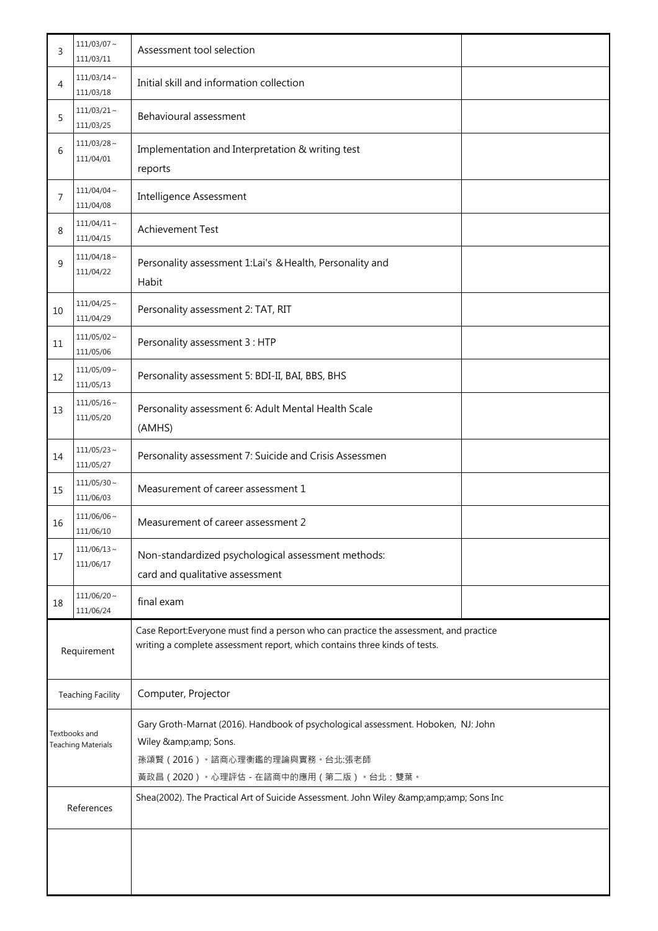| 3                                          | $111/03/07 \sim$<br>111/03/11 | Assessment tool selection                                                                                                                                                                                                                                              |  |  |
|--------------------------------------------|-------------------------------|------------------------------------------------------------------------------------------------------------------------------------------------------------------------------------------------------------------------------------------------------------------------|--|--|
| 4                                          | $111/03/14$ ~<br>111/03/18    | Initial skill and information collection                                                                                                                                                                                                                               |  |  |
| 5                                          | $111/03/21$ ~<br>111/03/25    | Behavioural assessment                                                                                                                                                                                                                                                 |  |  |
| 6                                          | $111/03/28$ ~<br>111/04/01    | Implementation and Interpretation & writing test<br>reports                                                                                                                                                                                                            |  |  |
| 7                                          | $111/04/04 \sim$<br>111/04/08 | <b>Intelligence Assessment</b>                                                                                                                                                                                                                                         |  |  |
| 8                                          | $111/04/11 \sim$<br>111/04/15 | <b>Achievement Test</b>                                                                                                                                                                                                                                                |  |  |
| 9                                          | $111/04/18$ ~<br>111/04/22    | Personality assessment 1:Lai's & Health, Personality and<br>Habit                                                                                                                                                                                                      |  |  |
| 10                                         | $111/04/25$ ~<br>111/04/29    | Personality assessment 2: TAT, RIT                                                                                                                                                                                                                                     |  |  |
| 11                                         | $111/05/02$ ~<br>111/05/06    | Personality assessment 3 : HTP                                                                                                                                                                                                                                         |  |  |
| 12                                         | $111/05/09$ ~<br>111/05/13    | Personality assessment 5: BDI-II, BAI, BBS, BHS                                                                                                                                                                                                                        |  |  |
| 13                                         | $111/05/16$ ~<br>111/05/20    | Personality assessment 6: Adult Mental Health Scale<br>(AMHS)                                                                                                                                                                                                          |  |  |
| 14                                         | $111/05/23$ ~<br>111/05/27    | Personality assessment 7: Suicide and Crisis Assessmen                                                                                                                                                                                                                 |  |  |
| 15                                         | $111/05/30$ ~<br>111/06/03    | Measurement of career assessment 1                                                                                                                                                                                                                                     |  |  |
| 16                                         | $111/06/06$ ~<br>111/06/10    | Measurement of career assessment 2                                                                                                                                                                                                                                     |  |  |
| 17                                         | $111/06/13$ ~<br>111/06/17    | Non-standardized psychological assessment methods:<br>card and qualitative assessment                                                                                                                                                                                  |  |  |
| 18                                         | $111/06/20 \sim$<br>111/06/24 | final exam                                                                                                                                                                                                                                                             |  |  |
| Requirement                                |                               | Case Report: Everyone must find a person who can practice the assessment, and practice<br>writing a complete assessment report, which contains three kinds of tests.                                                                                                   |  |  |
| <b>Teaching Facility</b>                   |                               | Computer, Projector                                                                                                                                                                                                                                                    |  |  |
| Textbooks and<br><b>Teaching Materials</b> |                               | Gary Groth-Marnat (2016). Handbook of psychological assessment. Hoboken, NJ: John<br>Wiley & Sons.<br>孫頌賢 (2016) · 諮商心理衡鑑的理論與實務 · 台北:張老師<br>黃政昌 (2020) · 心理評估 - 在諮商中的應用 (第二版) · 台北: 雙葉 ·<br>Shea(2002). The Practical Art of Suicide Assessment. John Wiley & Sons Inc |  |  |
|                                            | References                    |                                                                                                                                                                                                                                                                        |  |  |